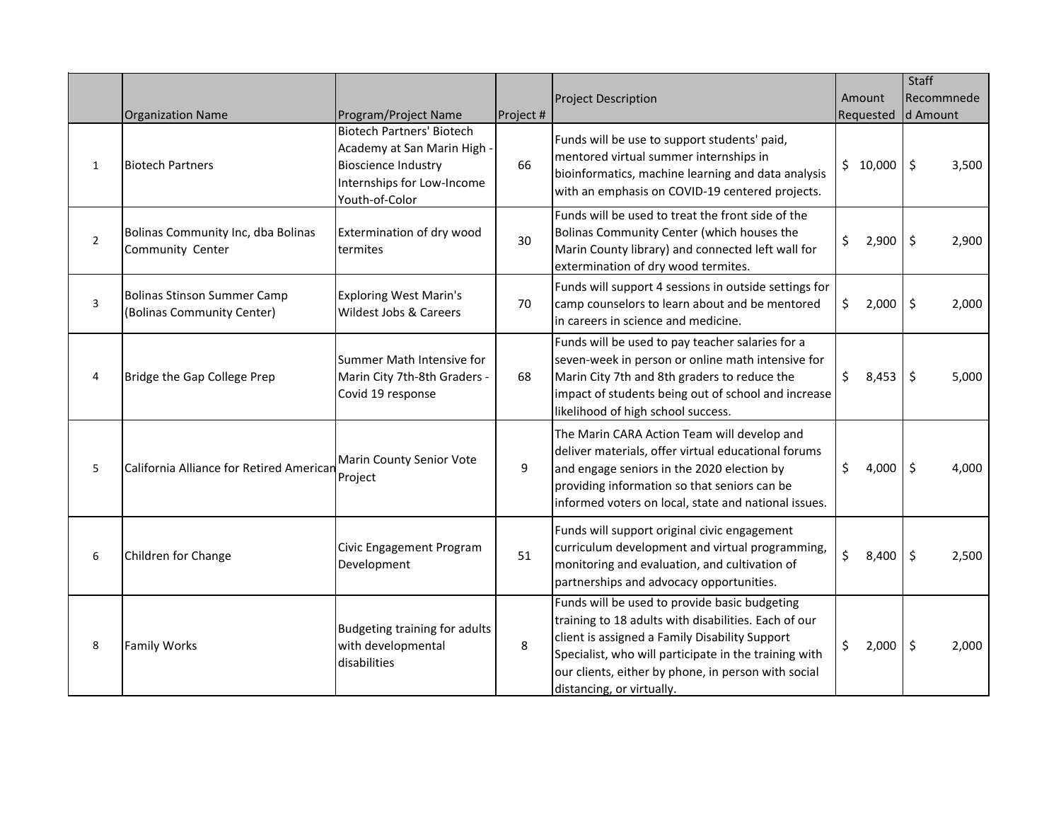|                |                                                                  |                                                                                                           |           |                                                                                                                                                                                                                                                                                                      | Staff  |           |                     |       |
|----------------|------------------------------------------------------------------|-----------------------------------------------------------------------------------------------------------|-----------|------------------------------------------------------------------------------------------------------------------------------------------------------------------------------------------------------------------------------------------------------------------------------------------------------|--------|-----------|---------------------|-------|
|                |                                                                  |                                                                                                           |           | <b>Project Description</b>                                                                                                                                                                                                                                                                           | Amount |           | Recommnede          |       |
|                | <b>Organization Name</b>                                         | Program/Project Name<br><b>Biotech Partners' Biotech</b>                                                  | Project # |                                                                                                                                                                                                                                                                                                      |        | Requested | d Amount            |       |
| $\mathbf{1}$   | <b>Biotech Partners</b>                                          | Academy at San Marin High -<br><b>Bioscience Industry</b><br>Internships for Low-Income<br>Youth-of-Color | 66        | Funds will be use to support students' paid,<br>mentored virtual summer internships in<br>bioinformatics, machine learning and data analysis<br>with an emphasis on COVID-19 centered projects.                                                                                                      |        | \$10,000  | \$ ا                | 3,500 |
| $\overline{2}$ | Bolinas Community Inc, dba Bolinas<br>Community Center           | Extermination of dry wood<br>termites                                                                     | 30        | Funds will be used to treat the front side of the<br>Bolinas Community Center (which houses the<br>Marin County library) and connected left wall for<br>extermination of dry wood termites.                                                                                                          | \$     | 2,900     | $\ddot{\mathsf{S}}$ | 2,900 |
| 3              | <b>Bolinas Stinson Summer Camp</b><br>(Bolinas Community Center) | <b>Exploring West Marin's</b><br>Wildest Jobs & Careers                                                   | 70        | Funds will support 4 sessions in outside settings for<br>camp counselors to learn about and be mentored<br>in careers in science and medicine.                                                                                                                                                       | \$     | 2,000     | Ŝ.                  | 2,000 |
| 4              | Bridge the Gap College Prep                                      | Summer Math Intensive for<br>Marin City 7th-8th Graders -<br>Covid 19 response                            | 68        | Funds will be used to pay teacher salaries for a<br>seven-week in person or online math intensive for<br>Marin City 7th and 8th graders to reduce the<br>impact of students being out of school and increase<br>likelihood of high school success.                                                   | \$     | 8,453     | $\ddot{\mathsf{S}}$ | 5,000 |
| 5              | California Alliance for Retired Americar                         | Marin County Senior Vote<br>Project                                                                       | 9         | The Marin CARA Action Team will develop and<br>deliver materials, offer virtual educational forums<br>and engage seniors in the 2020 election by<br>providing information so that seniors can be<br>informed voters on local, state and national issues.                                             | \$     | 4,000     | \$                  | 4,000 |
| 6              | Children for Change                                              | Civic Engagement Program<br>Development                                                                   | 51        | Funds will support original civic engagement<br>curriculum development and virtual programming,<br>monitoring and evaluation, and cultivation of<br>partnerships and advocacy opportunities.                                                                                                         | \$     | 8,400     | l\$                 | 2,500 |
| 8              | <b>Family Works</b>                                              | Budgeting training for adults<br>with developmental<br>disabilities                                       | 8         | Funds will be used to provide basic budgeting<br>training to 18 adults with disabilities. Each of our<br>client is assigned a Family Disability Support<br>Specialist, who will participate in the training with<br>our clients, either by phone, in person with social<br>distancing, or virtually. | \$     | 2,000     | \$ ا                | 2,000 |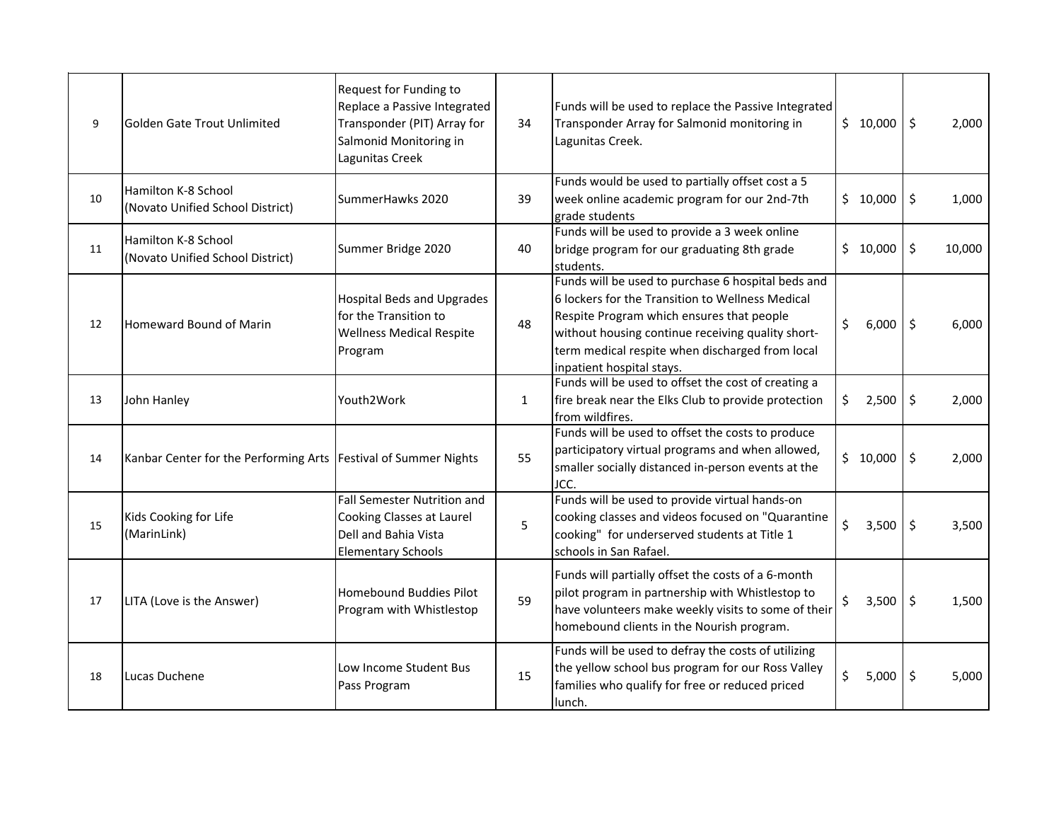| 9  | Golden Gate Trout Unlimited                                       | Request for Funding to<br>Replace a Passive Integrated<br>Transponder (PIT) Array for<br>Salmonid Monitoring in<br>Lagunitas Creek | 34           | Funds will be used to replace the Passive Integrated<br>Transponder Array for Salmonid monitoring in<br>Lagunitas Creek.                                                                                                                                                                 | \$10,000    | l \$                     | 2,000  |
|----|-------------------------------------------------------------------|------------------------------------------------------------------------------------------------------------------------------------|--------------|------------------------------------------------------------------------------------------------------------------------------------------------------------------------------------------------------------------------------------------------------------------------------------------|-------------|--------------------------|--------|
| 10 | Hamilton K-8 School<br>(Novato Unified School District)           | SummerHawks 2020                                                                                                                   | 39           | Funds would be used to partially offset cost a 5<br>week online academic program for our 2nd-7th<br>grade students                                                                                                                                                                       | \$10,000    | \$ ا                     | 1,000  |
| 11 | Hamilton K-8 School<br>(Novato Unified School District)           | Summer Bridge 2020                                                                                                                 | 40           | Funds will be used to provide a 3 week online<br>bridge program for our graduating 8th grade<br>students.                                                                                                                                                                                | \$10,000    | \$                       | 10,000 |
| 12 | Homeward Bound of Marin                                           | <b>Hospital Beds and Upgrades</b><br>for the Transition to<br><b>Wellness Medical Respite</b><br>Program                           | 48           | Funds will be used to purchase 6 hospital beds and<br>6 lockers for the Transition to Wellness Medical<br>Respite Program which ensures that people<br>without housing continue receiving quality short-<br>term medical respite when discharged from local<br>inpatient hospital stays. | \$<br>6,000 | \$                       | 6,000  |
| 13 | John Hanley                                                       | Youth2Work                                                                                                                         | $\mathbf{1}$ | Funds will be used to offset the cost of creating a<br>fire break near the Elks Club to provide protection<br>from wildfires.                                                                                                                                                            | \$<br>2,500 | \$                       | 2,000  |
| 14 | Kanbar Center for the Performing Arts   Festival of Summer Nights |                                                                                                                                    | 55           | Funds will be used to offset the costs to produce<br>participatory virtual programs and when allowed,<br>smaller socially distanced in-person events at the<br>JCC.                                                                                                                      | \$10,000    | $\overline{\phantom{a}}$ | 2,000  |
| 15 | Kids Cooking for Life<br>(MarinLink)                              | Fall Semester Nutrition and<br>Cooking Classes at Laurel<br>Dell and Bahia Vista<br><b>Elementary Schools</b>                      | 5            | Funds will be used to provide virtual hands-on<br>cooking classes and videos focused on "Quarantine<br>cooking" for underserved students at Title 1<br>schools in San Rafael.                                                                                                            | \$<br>3,500 | l \$                     | 3,500  |
| 17 | LITA (Love is the Answer)                                         | <b>Homebound Buddies Pilot</b><br>Program with Whistlestop                                                                         | 59           | Funds will partially offset the costs of a 6-month<br>pilot program in partnership with Whistlestop to<br>have volunteers make weekly visits to some of their<br>homebound clients in the Nourish program.                                                                               | \$<br>3,500 | $\vert$ \$               | 1,500  |
| 18 | Lucas Duchene                                                     | Low Income Student Bus<br>Pass Program                                                                                             | 15           | Funds will be used to defray the costs of utilizing<br>the yellow school bus program for our Ross Valley<br>families who qualify for free or reduced priced<br>lunch.                                                                                                                    | \$<br>5,000 | $\ddot{\mathsf{S}}$      | 5,000  |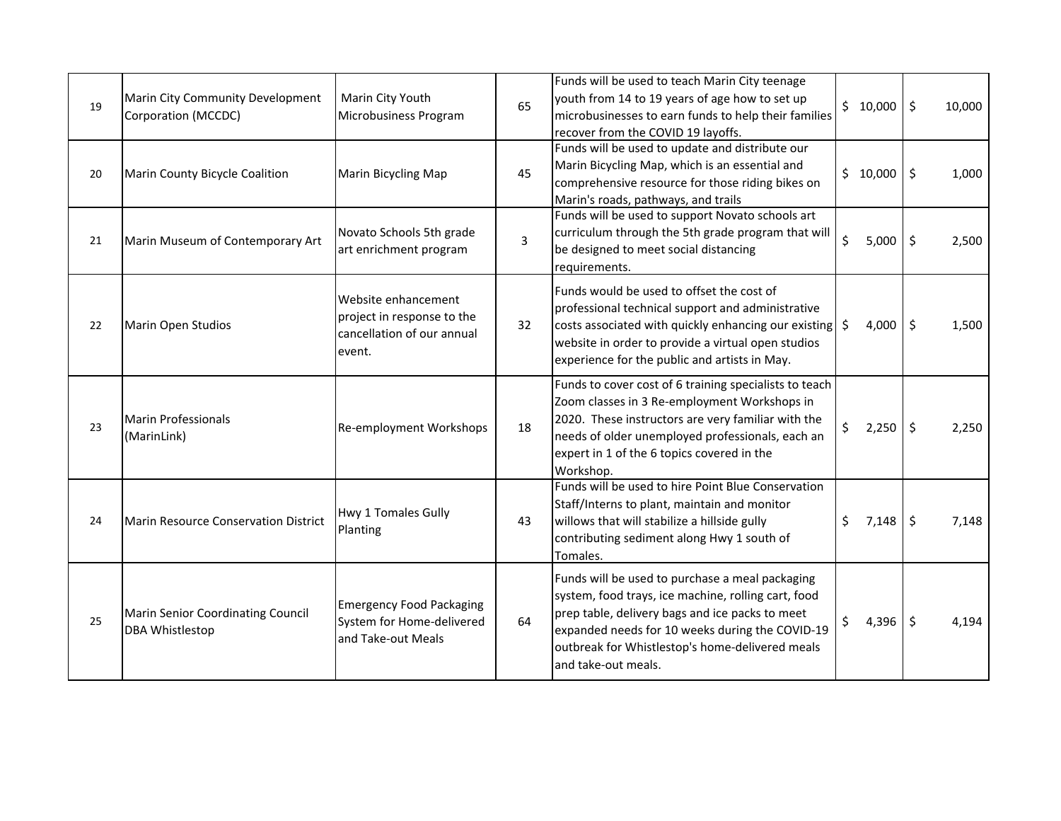| 19 | Marin City Community Development<br>Corporation (MCCDC)     | Marin City Youth<br>Microbusiness Program                                                 | 65 | Funds will be used to teach Marin City teenage<br>youth from 14 to 19 years of age how to set up<br>microbusinesses to earn funds to help their families<br>recover from the COVID 19 layoffs.                                                                                         | \$10,000    | \$                  | 10,000 |
|----|-------------------------------------------------------------|-------------------------------------------------------------------------------------------|----|----------------------------------------------------------------------------------------------------------------------------------------------------------------------------------------------------------------------------------------------------------------------------------------|-------------|---------------------|--------|
| 20 | Marin County Bicycle Coalition                              | Marin Bicycling Map                                                                       | 45 | Funds will be used to update and distribute our<br>Marin Bicycling Map, which is an essential and<br>comprehensive resource for those riding bikes on<br>Marin's roads, pathways, and trails                                                                                           | \$10,000    | $\ddot{\mathsf{S}}$ | 1,000  |
| 21 | Marin Museum of Contemporary Art                            | Novato Schools 5th grade<br>art enrichment program                                        | 3  | Funds will be used to support Novato schools art<br>curriculum through the 5th grade program that will<br>be designed to meet social distancing<br>requirements.                                                                                                                       | \$<br>5,000 | \$                  | 2,500  |
| 22 | Marin Open Studios                                          | Website enhancement<br>project in response to the<br>cancellation of our annual<br>event. | 32 | Funds would be used to offset the cost of<br>professional technical support and administrative<br>costs associated with quickly enhancing our existing<br>website in order to provide a virtual open studios<br>experience for the public and artists in May.                          | \$<br>4,000 | $\ddot{\mathsf{S}}$ | 1,500  |
| 23 | Marin Professionals<br>(MarinLink)                          | <b>Re-employment Workshops</b>                                                            | 18 | Funds to cover cost of 6 training specialists to teach<br>Zoom classes in 3 Re-employment Workshops in<br>2020. These instructors are very familiar with the<br>needs of older unemployed professionals, each an<br>expert in 1 of the 6 topics covered in the<br>Workshop.            | \$<br>2,250 | $\ddot{\mathsf{S}}$ | 2,250  |
| 24 | Marin Resource Conservation District                        | Hwy 1 Tomales Gully<br>Planting                                                           | 43 | Funds will be used to hire Point Blue Conservation<br>Staff/Interns to plant, maintain and monitor<br>willows that will stabilize a hillside gully<br>contributing sediment along Hwy 1 south of<br>Tomales.                                                                           | \$<br>7,148 | $\ddot{\mathsf{S}}$ | 7,148  |
| 25 | Marin Senior Coordinating Council<br><b>DBA Whistlestop</b> | <b>Emergency Food Packaging</b><br>System for Home-delivered<br>and Take-out Meals        | 64 | Funds will be used to purchase a meal packaging<br>system, food trays, ice machine, rolling cart, food<br>prep table, delivery bags and ice packs to meet<br>expanded needs for 10 weeks during the COVID-19<br>outbreak for Whistlestop's home-delivered meals<br>and take-out meals. | \$<br>4,396 | \$                  | 4,194  |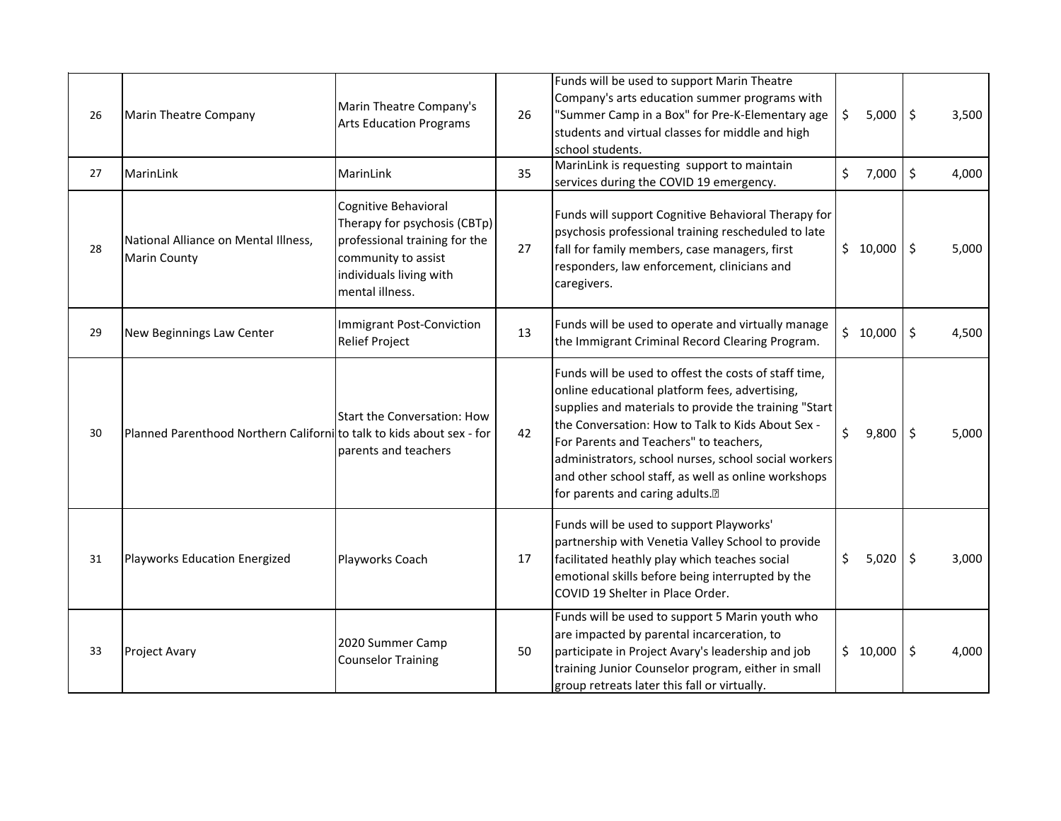| 26 | <b>Marin Theatre Company</b>                                         | Marin Theatre Company's<br><b>Arts Education Programs</b>                                                                                                  | 26 | Funds will be used to support Marin Theatre<br>Company's arts education summer programs with<br>"Summer Camp in a Box" for Pre-K-Elementary age<br>students and virtual classes for middle and high<br>school students.                                                                                                                                                                                           | \$<br>5,000 | $\zeta$             | 3,500 |
|----|----------------------------------------------------------------------|------------------------------------------------------------------------------------------------------------------------------------------------------------|----|-------------------------------------------------------------------------------------------------------------------------------------------------------------------------------------------------------------------------------------------------------------------------------------------------------------------------------------------------------------------------------------------------------------------|-------------|---------------------|-------|
| 27 | MarinLink                                                            | MarinLink                                                                                                                                                  | 35 | MarinLink is requesting support to maintain<br>services during the COVID 19 emergency.                                                                                                                                                                                                                                                                                                                            | \$<br>7,000 | \$                  | 4,000 |
| 28 | National Alliance on Mental Illness,<br><b>Marin County</b>          | Cognitive Behavioral<br>Therapy for psychosis (CBTp)<br>professional training for the<br>community to assist<br>individuals living with<br>mental illness. | 27 | Funds will support Cognitive Behavioral Therapy for<br>psychosis professional training rescheduled to late<br>fall for family members, case managers, first<br>responders, law enforcement, clinicians and<br>caregivers.                                                                                                                                                                                         | \$10,000    | $\ddot{\mathsf{S}}$ | 5,000 |
| 29 | New Beginnings Law Center                                            | Immigrant Post-Conviction<br><b>Relief Project</b>                                                                                                         | 13 | Funds will be used to operate and virtually manage<br>the Immigrant Criminal Record Clearing Program.                                                                                                                                                                                                                                                                                                             | \$10,000    | \$                  | 4,500 |
| 30 | Planned Parenthood Northern Californito talk to kids about sex - for | <b>Start the Conversation: How</b><br>parents and teachers                                                                                                 | 42 | Funds will be used to offest the costs of staff time,<br>online educational platform fees, advertising,<br>supplies and materials to provide the training "Start<br>the Conversation: How to Talk to Kids About Sex -<br>For Parents and Teachers" to teachers,<br>administrators, school nurses, school social workers<br>and other school staff, as well as online workshops<br>for parents and caring adults.• | \$<br>9,800 | \$                  | 5,000 |
| 31 | Playworks Education Energized                                        | Playworks Coach                                                                                                                                            | 17 | Funds will be used to support Playworks'<br>partnership with Venetia Valley School to provide<br>facilitated heathly play which teaches social<br>emotional skills before being interrupted by the<br>COVID 19 Shelter in Place Order.                                                                                                                                                                            | \$<br>5,020 | $\zeta$             | 3,000 |
| 33 | <b>Project Avary</b>                                                 | 2020 Summer Camp<br><b>Counselor Training</b>                                                                                                              | 50 | Funds will be used to support 5 Marin youth who<br>are impacted by parental incarceration, to<br>participate in Project Avary's leadership and job<br>training Junior Counselor program, either in small<br>group retreats later this fall or virtually.                                                                                                                                                          | \$10,000    | \$                  | 4,000 |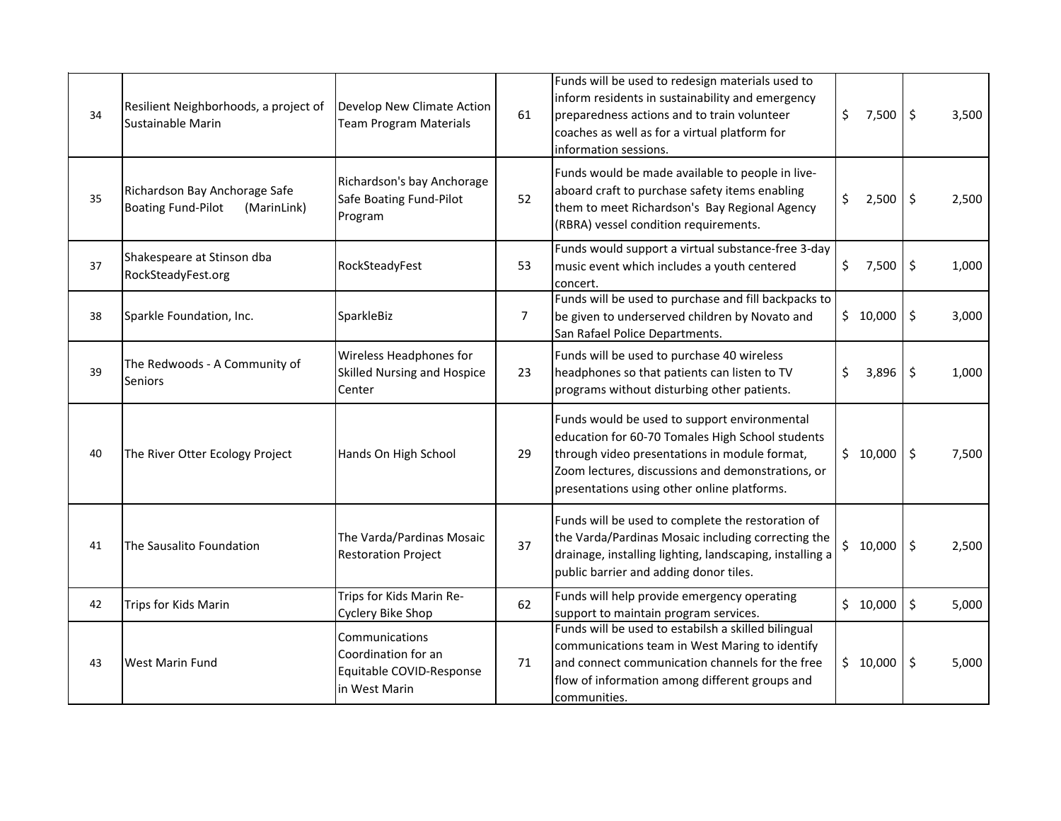| 34 | Resilient Neighborhoods, a project of<br>Sustainable Marin                | Develop New Climate Action<br><b>Team Program Materials</b>                        | 61             | Funds will be used to redesign materials used to<br>inform residents in sustainability and emergency<br>preparedness actions and to train volunteer<br>coaches as well as for a virtual platform for<br>information sessions.                         | \$<br>7,500 | $\ddot{\mathsf{S}}$ | 3,500 |
|----|---------------------------------------------------------------------------|------------------------------------------------------------------------------------|----------------|-------------------------------------------------------------------------------------------------------------------------------------------------------------------------------------------------------------------------------------------------------|-------------|---------------------|-------|
| 35 | Richardson Bay Anchorage Safe<br><b>Boating Fund-Pilot</b><br>(MarinLink) | Richardson's bay Anchorage<br>Safe Boating Fund-Pilot<br>Program                   | 52             | Funds would be made available to people in live-<br>aboard craft to purchase safety items enabling<br>them to meet Richardson's Bay Regional Agency<br>(RBRA) vessel condition requirements.                                                          | \$<br>2,500 | \$                  | 2,500 |
| 37 | Shakespeare at Stinson dba<br>RockSteadyFest.org                          | RockSteadyFest                                                                     | 53             | Funds would support a virtual substance-free 3-day<br>music event which includes a youth centered<br>concert.                                                                                                                                         | \$<br>7,500 | $\ddot{\mathsf{S}}$ | 1,000 |
| 38 | Sparkle Foundation, Inc.                                                  | SparkleBiz                                                                         | $\overline{7}$ | Funds will be used to purchase and fill backpacks to<br>be given to underserved children by Novato and<br>San Rafael Police Departments.                                                                                                              | \$10,000    | $\zeta$             | 3,000 |
| 39 | The Redwoods - A Community of<br><b>Seniors</b>                           | Wireless Headphones for<br>Skilled Nursing and Hospice<br>Center                   | 23             | Funds will be used to purchase 40 wireless<br>headphones so that patients can listen to TV<br>programs without disturbing other patients.                                                                                                             | \$<br>3,896 | \$                  | 1,000 |
| 40 | The River Otter Ecology Project                                           | Hands On High School                                                               | 29             | Funds would be used to support environmental<br>education for 60-70 Tomales High School students<br>through video presentations in module format,<br>Zoom lectures, discussions and demonstrations, or<br>presentations using other online platforms. | \$10,000    | $\ddot{\mathsf{S}}$ | 7,500 |
| 41 | The Sausalito Foundation                                                  | The Varda/Pardinas Mosaic<br><b>Restoration Project</b>                            | 37             | Funds will be used to complete the restoration of<br>the Varda/Pardinas Mosaic including correcting the<br>drainage, installing lighting, landscaping, installing a<br>public barrier and adding donor tiles.                                         | \$10,000    | $\ddot{\mathsf{S}}$ | 2,500 |
| 42 | Trips for Kids Marin                                                      | Trips for Kids Marin Re-<br>Cyclery Bike Shop                                      | 62             | Funds will help provide emergency operating<br>support to maintain program services.                                                                                                                                                                  | \$10,000    | \$                  | 5,000 |
| 43 | <b>West Marin Fund</b>                                                    | Communications<br>Coordination for an<br>Equitable COVID-Response<br>in West Marin | 71             | Funds will be used to estabilsh a skilled bilingual<br>communications team in West Maring to identify<br>and connect communication channels for the free<br>flow of information among different groups and<br>communities.                            | \$10,000    | \$                  | 5,000 |